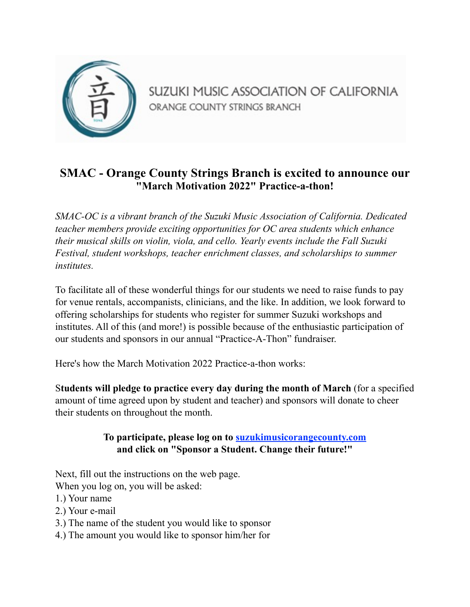

SUZUKI MUSIC ASSOCIATION OF CALIFORNIA ORANGE COUNTY STRINGS BRANCH

## **SMAC - Orange County Strings Branch is excited to announce our "March Motivation 2022" Practice-a-thon!**

*SMAC-OC is a vibrant branch of the Suzuki Music Association of California. Dedicated teacher members provide exciting opportunities for OC area students which enhance their musical skills on violin, viola, and cello. Yearly events include the Fall Suzuki Festival, student workshops, teacher enrichment classes, and scholarships to summer institutes.*

To facilitate all of these wonderful things for our students we need to raise funds to pay for venue rentals, accompanists, clinicians, and the like. In addition, we look forward to offering scholarships for students who register for summer Suzuki workshops and institutes. All of this (and more!) is possible because of the enthusiastic participation of our students and sponsors in our annual "Practice-A-Thon" fundraiser.

Here's how the March Motivation 2022 Practice-a-thon works:

S**tudents will pledge to practice every day during the month of March** (for a specified amount of time agreed upon by student and teacher) and sponsors will donate to cheer their students on throughout the month.

## **To participate, please log on to [suzukimusicorangecounty.com](http://suzukimusicorangecounty.com) and click on "Sponsor a Student. Change their future!"**

Next, fill out the instructions on the web page.

When you log on, you will be asked:

- 1.) Your name
- 2.) Your e-mail
- 3.) The name of the student you would like to sponsor
- 4.) The amount you would like to sponsor him/her for